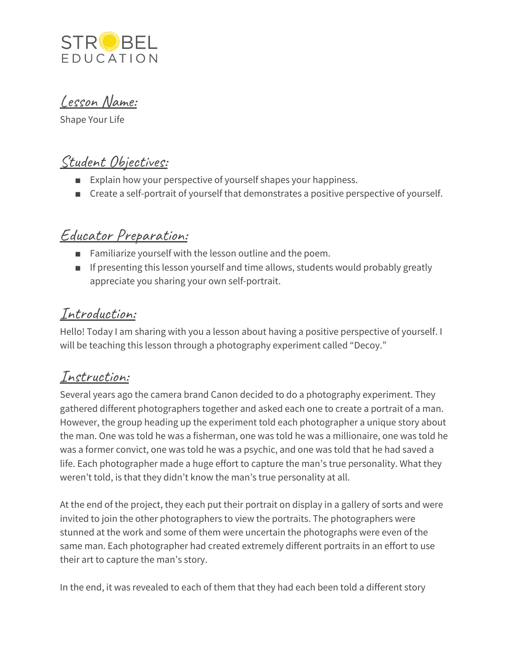

Lesson Name:

Shape Your Life

# Student Objectives:

- Explain how your perspective of yourself shapes your happiness.
- Create a self-portrait of yourself that demonstrates a positive perspective of yourself.

# Educator Preparation:

- Familiarize yourself with the lesson outline and the poem.
- If presenting this lesson yourself and time allows, students would probably greatly appreciate you sharing your own self-portrait.

### Introduction:

Hello! Today I am sharing with you a lesson about having a positive perspective of yourself. I will be teaching this lesson through a photography experiment called "Decoy."

### Instruction:

Several years ago the camera brand Canon decided to do a photography experiment. They gathered different photographers together and asked each one to create a portrait of a man. However, the group heading up the experiment told each photographer a unique story about the man. One was told he was a fisherman, one was told he was a millionaire, one was told he was a former convict, one was told he was a psychic, and one was told that he had saved a life. Each photographer made a huge effort to capture the man's true personality. What they weren't told, is that they didn't know the man's true personality at all.

At the end of the project, they each put their portrait on display in a gallery of sorts and were invited to join the other photographers to view the portraits. The photographers were stunned at the work and some of them were uncertain the photographs were even of the same man. Each photographer had created extremely different portraits in an effort to use their art to capture the man's story.

In the end, it was revealed to each of them that they had each been told a different story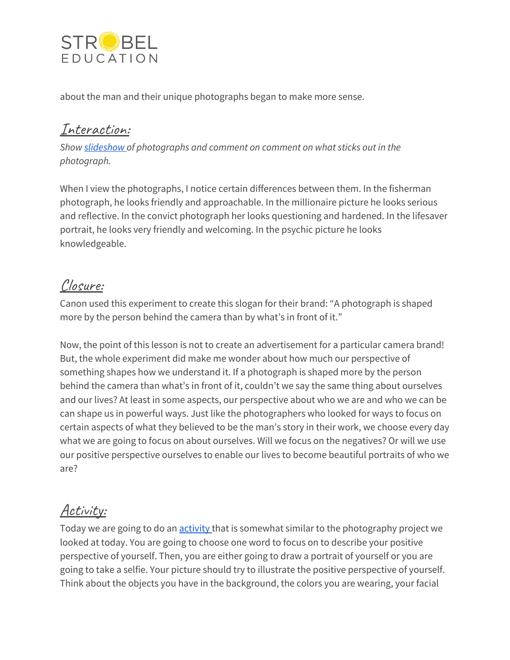

about the man and their unique photographs began to make more sense.

#### Interaction:

*Show [slideshow](https://docs.google.com/presentation/d/1oRvCcDP8tGkv0NIDwc5Yg2B8kv218EVpNmcAd7Ai7dM/edit?usp=sharing) of photographs and comment on comment on what sticks out in the photograph.*

When I view the photographs, I notice certain differences between them. In the fisherman photograph, he looks friendly and approachable. In the millionaire picture he looks serious and reflective. In the convict photograph her looks questioning and hardened. In the lifesaver portrait, he looks very friendly and welcoming. In the psychic picture he looks knowledgeable.

## Closure:

Canon used this experiment to create this slogan for their brand: "A photograph is shaped more by the person behind the camera than by what's in front of it."

Now, the point of this lesson is not to create an advertisement for a particular camera brand! But, the whole experiment did make me wonder about how much our perspective of something shapes how we understand it. If a photograph is shaped more by the person behind the camera than what's in front of it, couldn't we say the same thing about ourselves and our lives? At least in some aspects, our perspective about who we are and who we can be can shape us in powerful ways. Just like the photographers who looked for ways to focus on certain aspects of what they believed to be the man's story in their work, we choose every day what we are going to focus on about ourselves. Will we focus on the negatives? Or will we use our positive perspective ourselves to enable our lives to become beautiful portraits of who we are?

## Activity:

Today we are going to do an **[activity](https://docs.google.com/document/d/1kWsEu2zhoVMamBSBC69rgDRmLKe-JkERrcN4ke_OMAk/edit?usp=sharing)** that is somewhat similar to the photography project we looked at today. You are going to choose one word to focus on to describe your positive perspective of yourself. Then, you are either going to draw a portrait of yourself or you are going to take a selfie. Your picture should try to illustrate the positive perspective of yourself. Think about the objects you have in the background, the colors you are wearing, your facial